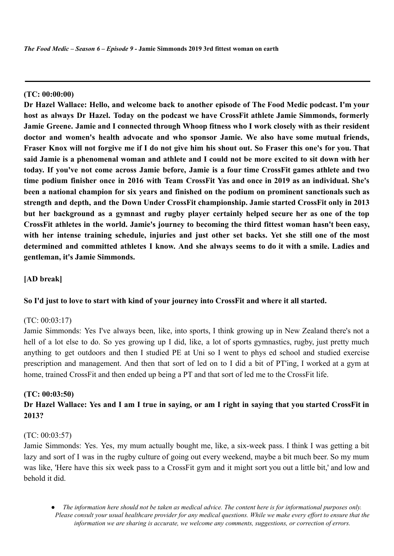*The Food Medic – Season 6 – Episode 9 -* **Jamie Simmonds 2019 3rd fittest woman on earth**

#### **(TC: 00:00:00)**

**Dr Hazel Wallace: Hello, and welcome back to another episode of The Food Medic podcast. I'm your host as always Dr Hazel. Today on the podcast we have CrossFit athlete Jamie Simmonds, formerly Jamie Greene. Jamie and I connected through Whoop fitness who I work closely with as their resident doctor and women's health advocate and who sponsor Jamie. We also have some mutual friends,** Fraser Knox will not forgive me if I do not give him his shout out. So Fraser this one's for you. That said Jamie is a phenomenal woman and athlete and I could not be more excited to sit down with her **today. If you've not come across Jamie before, Jamie is a four time CrossFit games athlete and two time podium finisher once in 2016 with Team CrossFit Yas and once in 2019 as an individual. She's been a national champion for six years and finished on the podium on prominent sanctionals such as strength and depth, and the Down Under CrossFit championship. Jamie started CrossFit only in 2013 but her background as a gymnast and rugby player certainly helped secure her as one of the top CrossFit athletes in the world. Jamie's journey to becoming the third fittest woman hasn't been easy,** with her intense training schedule, injuries and just other set backs. Yet she still one of the most **determined and committed athletes I know. And she always seems to do it with a smile. Ladies and gentleman, it's Jamie Simmonds.**

### **[AD break]**

#### **So I'd just to love to start with kind of your journey into CrossFit and where it all started.**

#### (TC: 00:03:17)

Jamie Simmonds: Yes I've always been, like, into sports, I think growing up in New Zealand there's not a hell of a lot else to do. So yes growing up I did, like, a lot of sports gymnastics, rugby, just pretty much anything to get outdoors and then I studied PE at Uni so I went to phys ed school and studied exercise prescription and management. And then that sort of led on to I did a bit of PT'ing, I worked at a gym at home, trained CrossFit and then ended up being a PT and that sort of led me to the CrossFit life.

#### **(TC: 00:03:50)**

## Dr Hazel Wallace: Yes and I am I true in saying, or am I right in saying that you started CrossFit in **2013?**

#### (TC: 00:03:57)

Jamie Simmonds: Yes. Yes, my mum actually bought me, like, a six-week pass. I think I was getting a bit lazy and sort of I was in the rugby culture of going out every weekend, maybe a bit much beer. So my mum was like, 'Here have this six week pass to a CrossFit gym and it might sort you out a little bit,' and low and behold it did.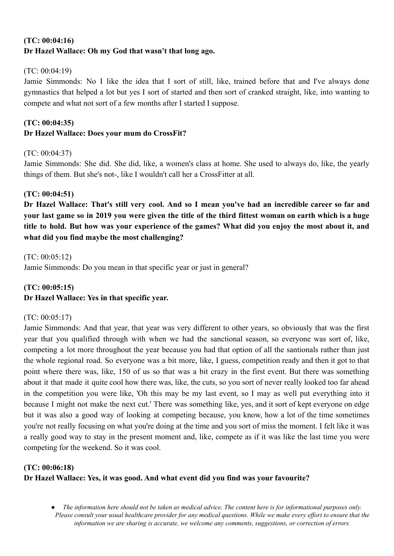# **(TC: 00:04:16) Dr Hazel Wallace: Oh my God that wasn't that long ago.**

### $(TC: 00.04.19)$

Jamie Simmonds: No I like the idea that I sort of still, like, trained before that and I've always done gymnastics that helped a lot but yes I sort of started and then sort of cranked straight, like, into wanting to compete and what not sort of a few months after I started I suppose.

# **(TC: 00:04:35) Dr Hazel Wallace: Does your mum do CrossFit?**

### (TC: 00:04:37)

Jamie Simmonds: She did. She did, like, a women's class at home. She used to always do, like, the yearly things of them. But she's not-, like I wouldn't call her a CrossFitter at all.

### **(TC: 00:04:51)**

Dr Hazel Wallace: That's still very cool. And so I mean you've had an incredible career so far and your last game so in 2019 you were given the title of the third fittest woman on earth which is a huge title to hold. But how was your experience of the games? What did you enjoy the most about it, and **what did you find maybe the most challenging?**

(TC: 00:05:12) Jamie Simmonds: Do you mean in that specific year or just in general?

## **(TC: 00:05:15) Dr Hazel Wallace: Yes in that specific year.**

### (TC: 00:05:17)

Jamie Simmonds: And that year, that year was very different to other years, so obviously that was the first year that you qualified through with when we had the sanctional season, so everyone was sort of, like, competing a lot more throughout the year because you had that option of all the santionals rather than just the whole regional road. So everyone was a bit more, like, I guess, competition ready and then it got to that point where there was, like, 150 of us so that was a bit crazy in the first event. But there was something about it that made it quite cool how there was, like, the cuts, so you sort of never really looked too far ahead in the competition you were like, 'Oh this may be my last event, so I may as well put everything into it because I might not make the next cut.' There was something like, yes, and it sort of kept everyone on edge but it was also a good way of looking at competing because, you know, how a lot of the time sometimes you're not really focusing on what you're doing at the time and you sort of miss the moment. I felt like it was a really good way to stay in the present moment and, like, compete as if it was like the last time you were competing for the weekend. So it was cool.

# **(TC: 00:06:18) Dr Hazel Wallace: Yes, it was good. And what event did you find was your favourite?**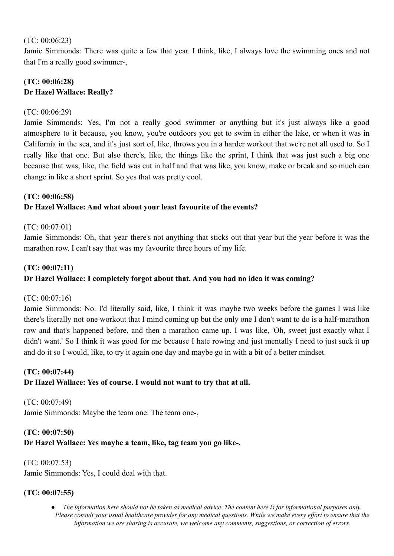#### (TC: 00:06:23)

Jamie Simmonds: There was quite a few that year. I think, like, I always love the swimming ones and not that I'm a really good swimmer-,

## **(TC: 00:06:28) Dr Hazel Wallace: Really?**

#### (TC: 00:06:29)

Jamie Simmonds: Yes, I'm not a really good swimmer or anything but it's just always like a good atmosphere to it because, you know, you're outdoors you get to swim in either the lake, or when it was in California in the sea, and it's just sort of, like, throws you in a harder workout that we're not all used to. So I really like that one. But also there's, like, the things like the sprint, I think that was just such a big one because that was, like, the field was cut in half and that was like, you know, make or break and so much can change in like a short sprint. So yes that was pretty cool.

### **(TC: 00:06:58)**

### **Dr Hazel Wallace: And what about your least favourite of the events?**

### (TC: 00:07:01)

Jamie Simmonds: Oh, that year there's not anything that sticks out that year but the year before it was the marathon row. I can't say that was my favourite three hours of my life.

#### **(TC: 00:07:11)**

### **Dr Hazel Wallace: I completely forgot about that. And you had no idea it was coming?**

### (TC: 00:07:16)

Jamie Simmonds: No. I'd literally said, like, I think it was maybe two weeks before the games I was like there's literally not one workout that I mind coming up but the only one I don't want to do is a half-marathon row and that's happened before, and then a marathon came up. I was like, 'Oh, sweet just exactly what I didn't want.' So I think it was good for me because I hate rowing and just mentally I need to just suck it up and do it so I would, like, to try it again one day and maybe go in with a bit of a better mindset.

## **(TC: 00:07:44)**

### **Dr Hazel Wallace: Yes of course. I would not want to try that at all.**

(TC: 00:07:49) Jamie Simmonds: Maybe the team one. The team one-,

# **(TC: 00:07:50)**

### **Dr Hazel Wallace: Yes maybe a team, like, tag team you go like-,**

#### (TC: 00:07:53)

Jamie Simmonds: Yes, I could deal with that.

### **(TC: 00:07:55)**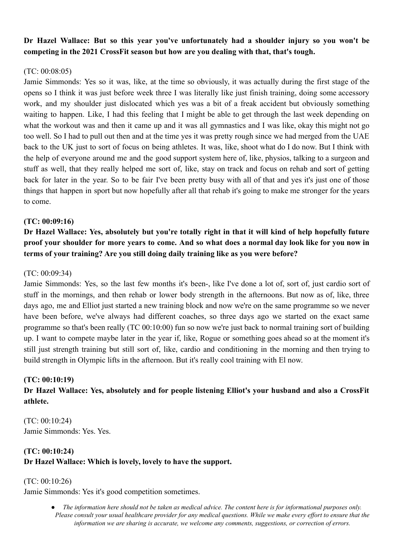## **Dr Hazel Wallace: But so this year you've unfortunately had a shoulder injury so you won't be competing in the 2021 CrossFit season but how are you dealing with that, that's tough.**

### (TC: 00:08:05)

Jamie Simmonds: Yes so it was, like, at the time so obviously, it was actually during the first stage of the opens so I think it was just before week three I was literally like just finish training, doing some accessory work, and my shoulder just dislocated which yes was a bit of a freak accident but obviously something waiting to happen. Like, I had this feeling that I might be able to get through the last week depending on what the workout was and then it came up and it was all gymnastics and I was like, okay this might not go too well. So I had to pull out then and at the time yes it was pretty rough since we had merged from the UAE back to the UK just to sort of focus on being athletes. It was, like, shoot what do I do now. But I think with the help of everyone around me and the good support system here of, like, physios, talking to a surgeon and stuff as well, that they really helped me sort of, like, stay on track and focus on rehab and sort of getting back for later in the year. So to be fair I've been pretty busy with all of that and yes it's just one of those things that happen in sport but now hopefully after all that rehab it's going to make me stronger for the years to come.

### **(TC: 00:09:16)**

Dr Hazel Wallace: Yes, absolutely but you're totally right in that it will kind of help hopefully future proof your shoulder for more years to come. And so what does a normal day look like for you now in **terms of your training? Are you still doing daily training like as you were before?**

### (TC: 00:09:34)

Jamie Simmonds: Yes, so the last few months it's been-, like I've done a lot of, sort of, just cardio sort of stuff in the mornings, and then rehab or lower body strength in the afternoons. But now as of, like, three days ago, me and Elliot just started a new training block and now we're on the same programme so we never have been before, we've always had different coaches, so three days ago we started on the exact same programme so that's been really (TC 00:10:00) fun so now we're just back to normal training sort of building up. I want to compete maybe later in the year if, like, Rogue or something goes ahead so at the moment it's still just strength training but still sort of, like, cardio and conditioning in the morning and then trying to build strength in Olympic lifts in the afternoon. But it's really cool training with El now.

### **(TC: 00:10:19)**

# **Dr Hazel Wallace: Yes, absolutely and for people listening Elliot's your husband and also a CrossFit athlete.**

(TC: 00:10:24) Jamie Simmonds: Yes. Yes.

# **(TC: 00:10:24) Dr Hazel Wallace: Which is lovely, lovely to have the support.**

### (TC: 00:10:26)

Jamie Simmonds: Yes it's good competition sometimes.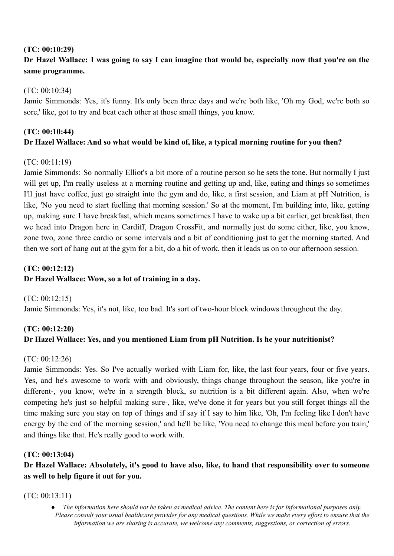## **(TC: 00:10:29)**

# Dr Hazel Wallace: I was going to say I can imagine that would be, especially now that you're on the **same programme.**

## (TC: 00:10:34)

Jamie Simmonds: Yes, it's funny. It's only been three days and we're both like, 'Oh my God, we're both so sore,' like, got to try and beat each other at those small things, you know.

# **(TC: 00:10:44) Dr Hazel Wallace: And so what would be kind of, like, a typical morning routine for you then?**

### (TC: 00:11:19)

Jamie Simmonds: So normally Elliot's a bit more of a routine person so he sets the tone. But normally I just will get up, I'm really useless at a morning routine and getting up and, like, eating and things so sometimes I'll just have coffee, just go straight into the gym and do, like, a first session, and Liam at pH Nutrition, is like, 'No you need to start fuelling that morning session.' So at the moment, I'm building into, like, getting up, making sure I have breakfast, which means sometimes I have to wake up a bit earlier, get breakfast, then we head into Dragon here in Cardiff, Dragon CrossFit, and normally just do some either, like, you know, zone two, zone three cardio or some intervals and a bit of conditioning just to get the morning started. And then we sort of hang out at the gym for a bit, do a bit of work, then it leads us on to our afternoon session.

# **(TC: 00:12:12)**

## **Dr Hazel Wallace: Wow, so a lot of training in a day.**

(TC: 00:12:15) Jamie Simmonds: Yes, it's not, like, too bad. It's sort of two-hour block windows throughout the day.

# **(TC: 00:12:20) Dr Hazel Wallace: Yes, and you mentioned Liam from pH Nutrition. Is he your nutritionist?**

## (TC: 00:12:26)

Jamie Simmonds: Yes. So I've actually worked with Liam for, like, the last four years, four or five years. Yes, and he's awesome to work with and obviously, things change throughout the season, like you're in different-, you know, we're in a strength block, so nutrition is a bit different again. Also, when we're competing he's just so helpful making sure-, like, we've done it for years but you still forget things all the time making sure you stay on top of things and if say if I say to him like, 'Oh, I'm feeling like I don't have energy by the end of the morning session,' and he'll be like, 'You need to change this meal before you train,' and things like that. He's really good to work with.

## **(TC: 00:13:04)**

**Dr Hazel Wallace: Absolutely, it's good to have also, like, to hand that responsibility over to someone as well to help figure it out for you.**

### (TC: 00:13:11)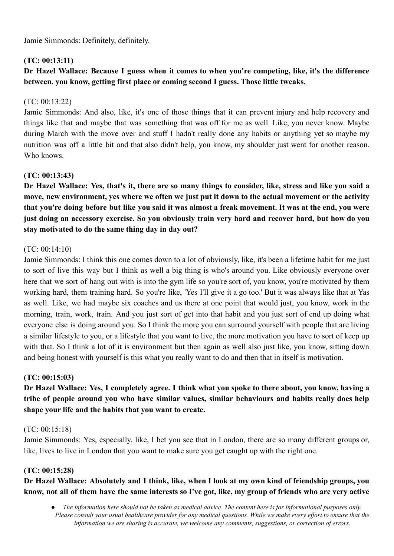Jamie Simmonds: Definitely, definitely.

### **(TC: 00:13:11)**

# **Dr Hazel Wallace: Because I guess when it comes to when you're competing, like, it's the difference between, you know, getting first place or coming second I guess. Those little tweaks.**

### (TC: 00:13:22)

Jamie Simmonds: And also, like, it's one of those things that it can prevent injury and help recovery and things like that and maybe that was something that was off for me as well. Like, you never know. Maybe during March with the move over and stuff I hadn't really done any habits or anything yet so maybe my nutrition was off a little bit and that also didn't help, you know, my shoulder just went for another reason. Who knows.

### **(TC: 00:13:43)**

Dr Hazel Wallace: Yes, that's it, there are so many things to consider, like, stress and like you said a move, new environment, yes where we often we just put it down to the actual movement or the activity that vou're doing before but like vou said it was almost a freak movement. It was at the end, vou were just doing an accessory exercise. So you obviously train very hard and recover hard, but how do you **stay motivated to do the same thing day in day out?**

#### (TC: 00:14:10)

Jamie Simmonds: I think this one comes down to a lot of obviously, like, it's been a lifetime habit for me just to sort of live this way but I think as well a big thing is who's around you. Like obviously everyone over here that we sort of hang out with is into the gym life so you're sort of, you know, you're motivated by them working hard, them training hard. So you're like, 'Yes I'll give it a go too.' But it was always like that at Yas as well. Like, we had maybe six coaches and us there at one point that would just, you know, work in the morning, train, work, train. And you just sort of get into that habit and you just sort of end up doing what everyone else is doing around you. So I think the more you can surround yourself with people that are living a similar lifestyle to you, or a lifestyle that you want to live, the more motivation you have to sort of keep up with that. So I think a lot of it is environment but then again as well also just like, you know, sitting down and being honest with yourself is this what you really want to do and then that in itself is motivation.

#### **(TC: 00:15:03)**

# Dr Hazel Wallace: Yes, I completely agree. I think what you spoke to there about, you know, having a **tribe of people around you who have similar values, similar behaviours and habits really does help shape your life and the habits that you want to create.**

#### (TC: 00:15:18)

Jamie Simmonds: Yes, especially, like, I bet you see that in London, there are so many different groups or, like, lives to live in London that you want to make sure you get caught up with the right one.

### **(TC: 00:15:28)**

# Dr Hazel Wallace: Absolutely and I think, like, when I look at my own kind of friendship groups, you know, not all of them have the same interests so I've got, like, my group of friends who are very active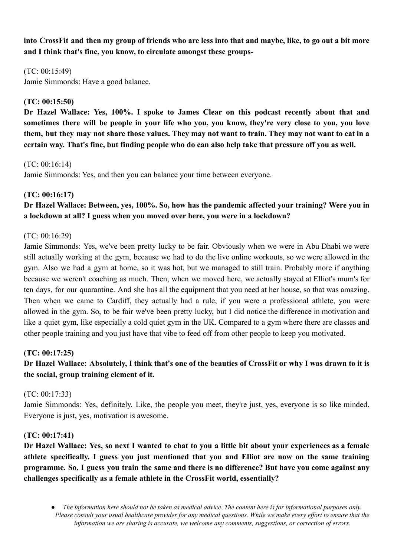into CrossFit and then my group of friends who are less into that and maybe, like, to go out a bit more **and I think that's fine, you know, to circulate amongst these groups-**

 $(TC: 00.15.49)$ Jamie Simmonds: Have a good balance.

### **(TC: 00:15:50)**

**Dr Hazel Wallace: Yes, 100%. I spoke to James Clear on this podcast recently about that and** sometimes there will be people in your life who you, you know, they're very close to you, you love them, but they may not share those values. They may not want to train. They may not want to eat in a **certain way. That's fine, but finding people who do can also help take that pressure off you as well.**

(TC: 00:16:14)

Jamie Simmonds: Yes, and then you can balance your time between everyone.

### **(TC: 00:16:17)**

**Dr Hazel Wallace: Between, yes, 100%. So, how has the pandemic affected your training? Were you in a lockdown at all? I guess when you moved over here, you were in a lockdown?**

### (TC: 00:16:29)

Jamie Simmonds: Yes, we've been pretty lucky to be fair. Obviously when we were in Abu Dhabi we were still actually working at the gym, because we had to do the live online workouts, so we were allowed in the gym. Also we had a gym at home, so it was hot, but we managed to still train. Probably more if anything because we weren't coaching as much. Then, when we moved here, we actually stayed at Elliot's mum's for ten days, for our quarantine. And she has all the equipment that you need at her house, so that was amazing. Then when we came to Cardiff, they actually had a rule, if you were a professional athlete, you were allowed in the gym. So, to be fair we've been pretty lucky, but I did notice the difference in motivation and like a quiet gym, like especially a cold quiet gym in the UK. Compared to a gym where there are classes and other people training and you just have that vibe to feed off from other people to keep you motivated.

### **(TC: 00:17:25)**

# Dr Hazel Wallace: Absolutely, I think that's one of the beauties of CrossFit or why I was drawn to it is **the social, group training element of it.**

### (TC: 00:17:33)

Jamie Simmonds: Yes, definitely. Like, the people you meet, they're just, yes, everyone is so like minded. Everyone is just, yes, motivation is awesome.

### **(TC: 00:17:41)**

Dr Hazel Wallace: Yes, so next I wanted to chat to you a little bit about your experiences as a female **athlete specifically. I guess you just mentioned that you and Elliot are now on the same training** programme. So, I guess you train the same and there is no difference? But have you come against any **challenges specifically as a female athlete in the CrossFit world, essentially?**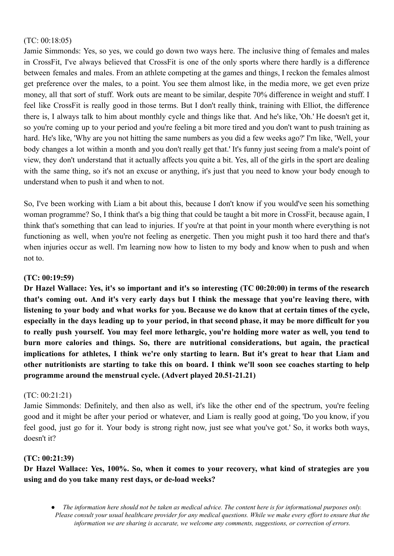#### (TC: 00:18:05)

Jamie Simmonds: Yes, so yes, we could go down two ways here. The inclusive thing of females and males in CrossFit, I've always believed that CrossFit is one of the only sports where there hardly is a difference between females and males. From an athlete competing at the games and things, I reckon the females almost get preference over the males, to a point. You see them almost like, in the media more, we get even prize money, all that sort of stuff. Work outs are meant to be similar, despite 70% difference in weight and stuff. I feel like CrossFit is really good in those terms. But I don't really think, training with Elliot, the difference there is, I always talk to him about monthly cycle and things like that. And he's like, 'Oh.' He doesn't get it, so you're coming up to your period and you're feeling a bit more tired and you don't want to push training as hard. He's like, 'Why are you not hitting the same numbers as you did a few weeks ago?' I'm like, 'Well, your body changes a lot within a month and you don't really get that.' It's funny just seeing from a male's point of view, they don't understand that it actually affects you quite a bit. Yes, all of the girls in the sport are dealing with the same thing, so it's not an excuse or anything, it's just that you need to know your body enough to understand when to push it and when to not.

So, I've been working with Liam a bit about this, because I don't know if you would've seen his something woman programme? So, I think that's a big thing that could be taught a bit more in CrossFit, because again, I think that's something that can lead to injuries. If you're at that point in your month where everything is not functioning as well, when you're not feeling as energetic. Then you might push it too hard there and that's when injuries occur as well. I'm learning now how to listen to my body and know when to push and when not to.

#### **(TC: 00:19:59)**

Dr Hazel Wallace: Yes, it's so important and it's so interesting (TC 00:20:00) in terms of the research that's coming out. And it's very early days but I think the message that you're leaving there, with listening to your body and what works for you. Because we do know that at certain times of the cycle, especially in the days leading up to your period, in that second phase, it may be more difficult for you to really push yourself. You may feel more lethargic, you're holding more water as well, you tend to **burn more calories and things. So, there are nutritional considerations, but again, the practical** implications for athletes, I think we're only starting to learn. But it's great to hear that Liam and other nutritionists are starting to take this on board. I think we'll soon see coaches starting to help **programme around the menstrual cycle. (Advert played 20.51-21.21)**

#### (TC: 00:21:21)

Jamie Simmonds: Definitely, and then also as well, it's like the other end of the spectrum, you're feeling good and it might be after your period or whatever, and Liam is really good at going, 'Do you know, if you feel good, just go for it. Your body is strong right now, just see what you've got.' So, it works both ways, doesn't it?

#### **(TC: 00:21:39)**

**Dr Hazel Wallace: Yes, 100%. So, when it comes to your recovery, what kind of strategies are you using and do you take many rest days, or de-load weeks?**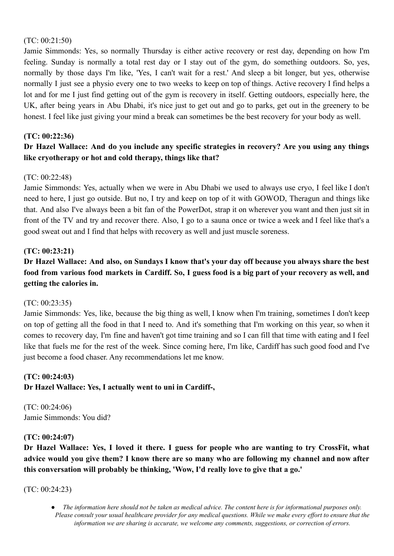#### (TC: 00:21:50)

Jamie Simmonds: Yes, so normally Thursday is either active recovery or rest day, depending on how I'm feeling. Sunday is normally a total rest day or I stay out of the gym, do something outdoors. So, yes, normally by those days I'm like, 'Yes, I can't wait for a rest.' And sleep a bit longer, but yes, otherwise normally I just see a physio every one to two weeks to keep on top of things. Active recovery I find helps a lot and for me I just find getting out of the gym is recovery in itself. Getting outdoors, especially here, the UK, after being years in Abu Dhabi, it's nice just to get out and go to parks, get out in the greenery to be honest. I feel like just giving your mind a break can sometimes be the best recovery for your body as well.

### **(TC: 00:22:36)**

# **Dr Hazel Wallace: And do you include any specific strategies in recovery? Are you using any things like cryotherapy or hot and cold therapy, things like that?**

### (TC: 00:22:48)

Jamie Simmonds: Yes, actually when we were in Abu Dhabi we used to always use cryo, I feel like I don't need to here, I just go outside. But no, I try and keep on top of it with GOWOD, Theragun and things like that. And also I've always been a bit fan of the PowerDot, strap it on wherever you want and then just sit in front of the TV and try and recover there. Also, I go to a sauna once or twice a week and I feel like that's a good sweat out and I find that helps with recovery as well and just muscle soreness.

#### **(TC: 00:23:21)**

Dr Hazel Wallace: And also, on Sundays I know that's your day off because you always share the best food from various food markets in Cardiff. So, I guess food is a big part of your recovery as well, and **getting the calories in.**

#### (TC: 00:23:35)

Jamie Simmonds: Yes, like, because the big thing as well, I know when I'm training, sometimes I don't keep on top of getting all the food in that I need to. And it's something that I'm working on this year, so when it comes to recovery day, I'm fine and haven't got time training and so I can fill that time with eating and I feel like that fuels me for the rest of the week. Since coming here, I'm like, Cardiff has such good food and I've just become a food chaser. Any recommendations let me know.

## **(TC: 00:24:03) Dr Hazel Wallace: Yes, I actually went to uni in Cardiff-,**

(TC: 00:24:06) Jamie Simmonds: You did?

### **(TC: 00:24:07)**

Dr Hazel Wallace: Yes, I loved it there. I guess for people who are wanting to try CrossFit, what advice would you give them? I know there are so many who are following my channel and now after **this conversation will probably be thinking, 'Wow, I'd really love to give that a go.'**

(TC: 00:24:23)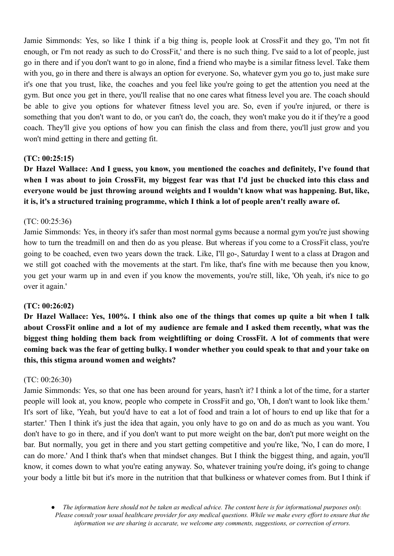Jamie Simmonds: Yes, so like I think if a big thing is, people look at CrossFit and they go, 'I'm not fit enough, or I'm not ready as such to do CrossFit,' and there is no such thing. I've said to a lot of people, just go in there and if you don't want to go in alone, find a friend who maybe is a similar fitness level. Take them with you, go in there and there is always an option for everyone. So, whatever gym you go to, just make sure it's one that you trust, like, the coaches and you feel like you're going to get the attention you need at the gym. But once you get in there, you'll realise that no one cares what fitness level you are. The coach should be able to give you options for whatever fitness level you are. So, even if you're injured, or there is something that you don't want to do, or you can't do, the coach, they won't make you do it if they're a good coach. They'll give you options of how you can finish the class and from there, you'll just grow and you won't mind getting in there and getting fit.

### **(TC: 00:25:15)**

**Dr Hazel Wallace: And I guess, you know, you mentioned the coaches and definitely, I've found that** when I was about to join CrossFit, my biggest fear was that I'd just be chucked into this class and **everyone would be just throwing around weights and I wouldn't know what was happening. But, like, it is, it's a structured training programme, which I think a lot of people aren't really aware of.**

#### (TC: 00:25:36)

Jamie Simmonds: Yes, in theory it's safer than most normal gyms because a normal gym you're just showing how to turn the treadmill on and then do as you please. But whereas if you come to a CrossFit class, you're going to be coached, even two years down the track. Like, I'll go-, Saturday I went to a class at Dragon and we still got coached with the movements at the start. I'm like, that's fine with me because then you know, you get your warm up in and even if you know the movements, you're still, like, 'Oh yeah, it's nice to go over it again.'

#### **(TC: 00:26:02)**

Dr Hazel Wallace: Yes, 100%. I think also one of the things that comes up quite a bit when I talk about CrossFit online and a lot of my audience are female and I asked them recently, what was the **biggest thing holding them back from weightlifting or doing CrossFit. A lot of comments that were** coming back was the fear of getting bulky. I wonder whether you could speak to that and your take on **this, this stigma around women and weights?**

#### (TC: 00:26:30)

Jamie Simmonds: Yes, so that one has been around for years, hasn't it? I think a lot of the time, for a starter people will look at, you know, people who compete in CrossFit and go, 'Oh, I don't want to look like them.' It's sort of like, 'Yeah, but you'd have to eat a lot of food and train a lot of hours to end up like that for a starter.' Then I think it's just the idea that again, you only have to go on and do as much as you want. You don't have to go in there, and if you don't want to put more weight on the bar, don't put more weight on the bar. But normally, you get in there and you start getting competitive and you're like, 'No, I can do more, I can do more.' And I think that's when that mindset changes. But I think the biggest thing, and again, you'll know, it comes down to what you're eating anyway. So, whatever training you're doing, it's going to change your body a little bit but it's more in the nutrition that that bulkiness or whatever comes from. But I think if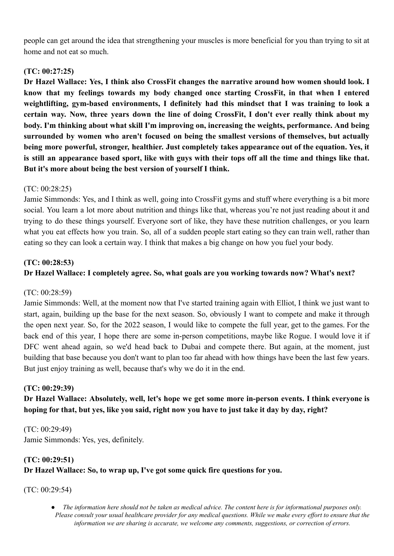people can get around the idea that strengthening your muscles is more beneficial for you than trying to sit at home and not eat so much.

## **(TC: 00:27:25)**

**Dr Hazel Wallace: Yes, I think also CrossFit changes the narrative around how women should look. I know that my feelings towards my body changed once starting CrossFit, in that when I entered weightlifting, gym-based environments, I definitely had this mindset that I was training to look a certain way. Now, three years down the line of doing CrossFit, I don't ever really think about my body. I'm thinking about what skill I'm improving on, increasing the weights, performance. And being surrounded by women who aren't focused on being the smallest versions of themselves, but actually being more powerful, stronger, healthier. Just completely takes appearance out of the equation. Yes, it** is still an appearance based sport, like with guys with their tops off all the time and things like that. **But it's more about being the best version of yourself I think.**

### (TC: 00:28:25)

Jamie Simmonds: Yes, and I think as well, going into CrossFit gyms and stuff where everything is a bit more social. You learn a lot more about nutrition and things like that, whereas you're not just reading about it and trying to do these things yourself. Everyone sort of like, they have these nutrition challenges, or you learn what you eat effects how you train. So, all of a sudden people start eating so they can train well, rather than eating so they can look a certain way. I think that makes a big change on how you fuel your body.

### **(TC: 00:28:53)**

## **Dr Hazel Wallace: I completely agree. So, what goals are you working towards now? What's next?**

### (TC: 00:28:59)

Jamie Simmonds: Well, at the moment now that I've started training again with Elliot, I think we just want to start, again, building up the base for the next season. So, obviously I want to compete and make it through the open next year. So, for the 2022 season, I would like to compete the full year, get to the games. For the back end of this year, I hope there are some in-person competitions, maybe like Rogue. I would love it if DFC went ahead again, so we'd head back to Dubai and compete there. But again, at the moment, just building that base because you don't want to plan too far ahead with how things have been the last few years. But just enjoy training as well, because that's why we do it in the end.

### **(TC: 00:29:39)**

**Dr Hazel Wallace: Absolutely, well, let's hope we get some more in-person events. I think everyone is hoping for that, but yes, like you said, right now you have to just take it day by day, right?**

(TC: 00:29:49) Jamie Simmonds: Yes, yes, definitely.

# **(TC: 00:29:51) Dr Hazel Wallace: So, to wrap up, I've got some quick fire questions for you.**

(TC: 00:29:54)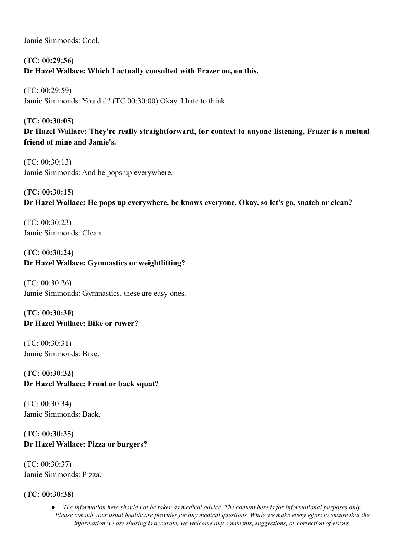Jamie Simmonds: Cool.

# **(TC: 00:29:56) Dr Hazel Wallace: Which I actually consulted with Frazer on, on this.**

(TC: 00:29:59) Jamie Simmonds: You did? (TC 00:30:00) Okay. I hate to think.

# **(TC: 00:30:05) Dr Hazel Wallace: They're really straightforward, for context to anyone listening, Frazer is a mutual friend of mine and Jamie's.**

(TC: 00:30:13) Jamie Simmonds: And he pops up everywhere.

# **(TC: 00:30:15) Dr Hazel Wallace: He pops up everywhere, he knows everyone. Okay, so let's go, snatch or clean?**

(TC: 00:30:23) Jamie Simmonds: Clean.

# **(TC: 00:30:24) Dr Hazel Wallace: Gymnastics or weightlifting?**

(TC: 00:30:26) Jamie Simmonds: Gymnastics, these are easy ones.

**(TC: 00:30:30) Dr Hazel Wallace: Bike or rower?**

(TC: 00:30:31) Jamie Simmonds: Bike.

**(TC: 00:30:32) Dr Hazel Wallace: Front or back squat?**

(TC: 00:30:34) Jamie Simmonds: Back.

## **(TC: 00:30:35) Dr Hazel Wallace: Pizza or burgers?**

(TC: 00:30:37) Jamie Simmonds: Pizza.

## **(TC: 00:30:38)**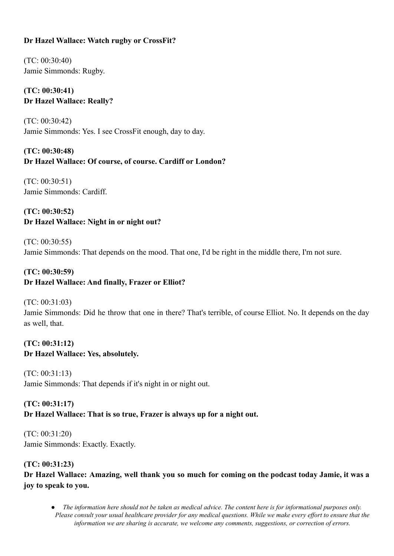## **Dr Hazel Wallace: Watch rugby or CrossFit?**

(TC: 00:30:40) Jamie Simmonds: Rugby.

# **(TC: 00:30:41) Dr Hazel Wallace: Really?**

(TC: 00:30:42) Jamie Simmonds: Yes. I see CrossFit enough, day to day.

## **(TC: 00:30:48) Dr Hazel Wallace: Of course, of course. Cardiff or London?**

(TC: 00:30:51) Jamie Simmonds: Cardiff.

# **(TC: 00:30:52) Dr Hazel Wallace: Night in or night out?**

(TC: 00:30:55) Jamie Simmonds: That depends on the mood. That one, I'd be right in the middle there, I'm not sure.

# **(TC: 00:30:59) Dr Hazel Wallace: And finally, Frazer or Elliot?**

(TC: 00:31:03)

Jamie Simmonds: Did he throw that one in there? That's terrible, of course Elliot. No. It depends on the day as well, that.

### **(TC: 00:31:12) Dr Hazel Wallace: Yes, absolutely.**

(TC: 00:31:13) Jamie Simmonds: That depends if it's night in or night out.

# **(TC: 00:31:17) Dr Hazel Wallace: That is so true, Frazer is always up for a night out.**

(TC: 00:31:20) Jamie Simmonds: Exactly. Exactly.

### **(TC: 00:31:23)**

Dr Hazel Wallace: Amazing, well thank you so much for coming on the podcast today Jamie, it was a **joy to speak to you.**